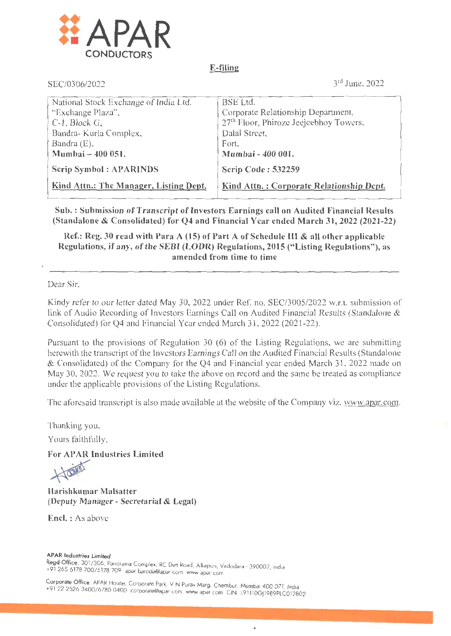

E-filing

| SEC/0306/2022                          | $3rd$ June, 2022                                   |
|----------------------------------------|----------------------------------------------------|
| National Stock Exchange of India Ltd.  | BSE Ltd.                                           |
| "Exchange Plaza",                      | Corporate Relationship Department,                 |
| C-1, Block G,                          | 27 <sup>th</sup> Floor, Phiroze Jeejcebhoy Towers, |
| Bandra- Kurla Complex,                 | Dalal Street,                                      |
| Bandra $(E)$ ,                         | Fort.                                              |
| Mumbai - 400 051.                      | Mumbai - 400 001.                                  |
| <b>Scrip Symbol: APARINDS</b>          | <b>Scrip Code: 532259</b>                          |
| Kind Attn.: The Manager, Listing Dept. | Kind Attn.: Corporate Relationship Dept.           |

Sub. : Submission of Transcript of Investors Earnings call on Audited Financial Results (Standalone & Consolidated) for Q4 and Financial Year ended March 31, 2022 (2021-22)

Ref.: Reg. 30 read with Para A (15) of Part A of Schedule III & all other applicable Regulations, if any, of the SEBI (LODR) Regulations, 2015 ("Listing Regulations"), as amended from time to time

Dear Sir,

Kindy refer to our letter dated May 30, 2022 under Ref. no. SEC/3005/2022 w.r.t. submission of link of Audio Recording of Investors Earnings Call on Audited Financial Results (Standalone & Consolidated) for Q4 and Financial Year ended March 31, 2022 (2021-22).

Pursuant to the provisions of Regulation 30 (6) of the Listing Regulations, we are submitting herewith the transcript of the Investors Earnings Call on the Audited Financial Results (Standalone & Consolidated) of the Company for the Q4 and Financial year ended March 31, 2022 made on May 30, 2022. We request you to take the above on record and the same be treated as compliance under the applicable provisions of the Listing Regulations.

The aforesaid transcript is also made available at the website of the Company viz. www.apar.com.

Thanking you,

Yours faithfully,

For APAR Industries Limited

*#* 

Harishkumar Malsatter (Deputy Manager - Secretarial & Legal)

Encl. : As above

APAR Industries Limited Regd Office: 301/306, Panorama Complex, RC Dutt Road, Alkapuri, Vadodara . 390007 Indra +91 265 6178 700/6178 709 apar baroda@apar com www apar com '

Corporate Office: APAR House, Corporate Park, V N Purav Marg, Chembur, Mumbar 400 071, India 26 3400/6780 0400 corporate@apar com www apar com CIN L91110GJ1989PLC012802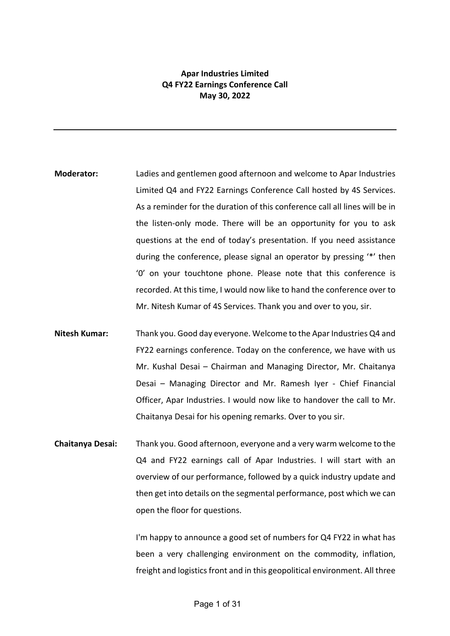## **Apar Industries Limited Q4 FY22 Earnings Conference Call May 30, 2022**

- **Moderator:**  Ladies and gentlemen good afternoon and welcome to Apar Industries Limited Q4 and FY22 Earnings Conference Call hosted by 4S Services. As a reminder for the duration of this conference call all lines will be in the listen-only mode. There will be an opportunity for you to ask questions at the end of today's presentation. If you need assistance during the conference, please signal an operator by pressing '\*' then '0' on your touchtone phone. Please note that this conference is recorded. At this time, I would now like to hand the conference over to Mr. Nitesh Kumar of 4S Services. Thank you and over to you, sir.
- **Nitesh Kumar:** Thank you. Good day everyone. Welcome to the Apar Industries Q4 and FY22 earnings conference. Today on the conference, we have with us Mr. Kushal Desai - Chairman and Managing Director, Mr. Chaitanya Desai - Managing Director and Mr. Ramesh Iyer - Chief Financial Officer, Apar Industries. I would now like to handover the call to Mr. Chaitanya Desai for his opening remarks. Over to you sir.
- **Chaitanya Desai:** Thank you. Good afternoon, everyone and a very warm welcome to the Q4 and FY22 earnings call of Apar Industries. I will start with an overview of our performance, followed by a quick industry update and then get into details on the segmental performance, post which we can open the floor for questions.

I'm happy to announce a good set of numbers for Q4 FY22 in what has been a very challenging environment on the commodity, inflation, freight and logistics front and in this geopolitical environment. All three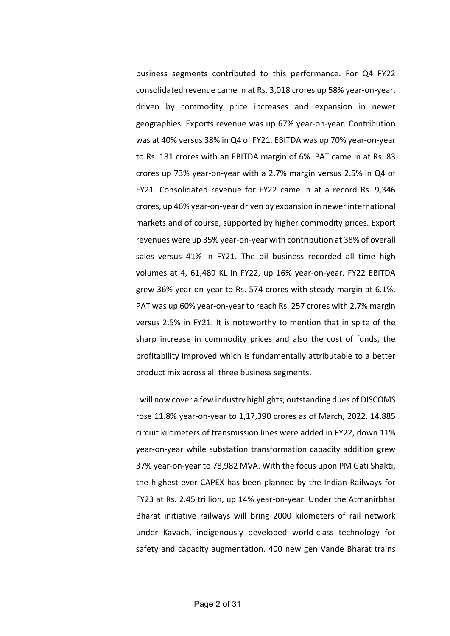business segments contributed to this performance. For Q4 FY22 consolidated revenue came in at Rs. 3,018 crores up 58% year‐on‐year, driven by commodity price increases and expansion in newer geographies. Exports revenue was up 67% year‐on‐year. Contribution was at 40% versus 38% in Q4 of FY21. EBITDA was up 70% year‐on‐year to Rs. 181 crores with an EBITDA margin of 6%. PAT came in at Rs. 83 crores up 73% year‐on‐year with a 2.7% margin versus 2.5% in Q4 of FY21. Consolidated revenue for FY22 came in at a record Rs. 9,346 crores, up 46% year‐on‐year driven by expansion in newer international markets and of course, supported by higher commodity prices. Export revenues were up 35% year‐on‐year with contribution at 38% of overall sales versus 41% in FY21. The oil business recorded all time high volumes at 4, 61,489 KL in FY22, up 16% year‐on‐year. FY22 EBITDA grew 36% year‐on‐year to Rs. 574 crores with steady margin at 6.1%. PAT was up 60% year‐on‐year to reach Rs. 257 crores with 2.7% margin versus 2.5% in FY21. It is noteworthy to mention that in spite of the sharp increase in commodity prices and also the cost of funds, the profitability improved which is fundamentally attributable to a better product mix across all three business segments.

I will now cover a few industry highlights; outstanding dues of DISCOMS rose 11.8% year‐on‐year to 1,17,390 crores as of March, 2022. 14,885 circuit kilometers of transmission lines were added in FY22, down 11% year-on-year while substation transformation capacity addition grew 37% year‐on‐year to 78,982 MVA. With the focus upon PM Gati Shakti, the highest ever CAPEX has been planned by the Indian Railways for FY23 at Rs. 2.45 trillion, up 14% year‐on‐year. Under the Atmanirbhar Bharat initiative railways will bring 2000 kilometers of rail network under Kavach, indigenously developed world‐class technology for safety and capacity augmentation. 400 new gen Vande Bharat trains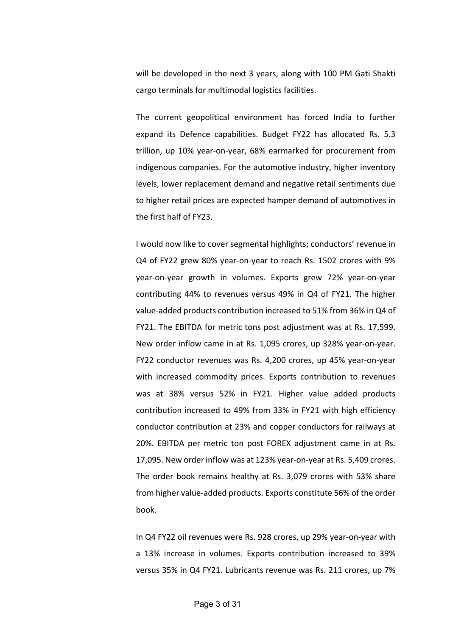will be developed in the next 3 years, along with 100 PM Gati Shakti cargo terminals for multimodal logistics facilities.

The current geopolitical environment has forced India to further expand its Defence capabilities. Budget FY22 has allocated Rs. 5.3 trillion, up 10% year‐on‐year, 68% earmarked for procurement from indigenous companies. For the automotive industry, higher inventory levels, lower replacement demand and negative retail sentiments due to higher retail prices are expected hamper demand of automotives in the first half of FY23.

I would now like to cover segmental highlights; conductors' revenue in Q4 of FY22 grew 80% year‐on‐year to reach Rs. 1502 crores with 9% year‐on‐year growth in volumes. Exports grew 72% year‐on‐year contributing 44% to revenues versus 49% in Q4 of FY21. The higher value‐added products contribution increased to 51% from 36% in Q4 of FY21. The EBITDA for metric tons post adjustment was at Rs. 17,599. New order inflow came in at Rs. 1,095 crores, up 328% year‐on‐year. FY22 conductor revenues was Rs. 4,200 crores, up 45% year‐on‐year with increased commodity prices. Exports contribution to revenues was at 38% versus 52% in FY21. Higher value added products contribution increased to 49% from 33% in FY21 with high efficiency conductor contribution at 23% and copper conductors for railways at 20%. EBITDA per metric ton post FOREX adjustment came in at Rs. 17,095. New order inflow was at 123% year‐on‐year at Rs. 5,409 crores. The order book remains healthy at Rs. 3,079 crores with 53% share from higher value‐added products. Exports constitute 56% of the order book.

In Q4 FY22 oil revenues were Rs. 928 crores, up 29% year‐on‐year with a 13% increase in volumes. Exports contribution increased to 39% versus 35% in Q4 FY21. Lubricants revenue was Rs. 211 crores, up 7%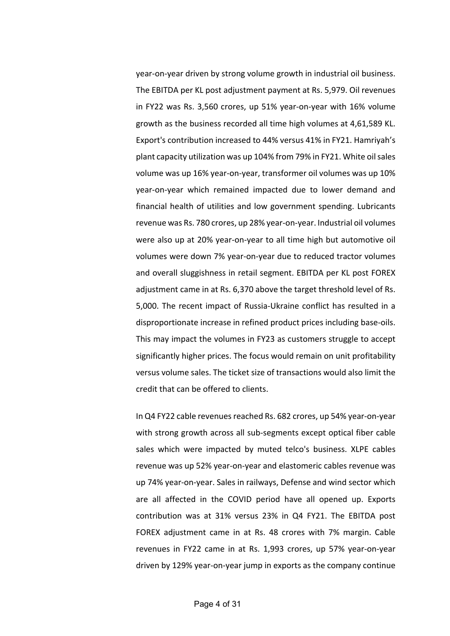year‐on‐year driven by strong volume growth in industrial oil business. The EBITDA per KL post adjustment payment at Rs. 5,979. Oil revenues in FY22 was Rs. 3,560 crores, up 51% year‐on‐year with 16% volume growth as the business recorded all time high volumes at 4,61,589 KL. Export's contribution increased to 44% versus 41% in FY21. Hamriyah's plant capacity utilization was up 104% from 79% in FY21. White oil sales volume was up 16% year‐on‐year, transformer oil volumes was up 10% year‐on‐year which remained impacted due to lower demand and financial health of utilities and low government spending. Lubricants revenue was Rs. 780 crores, up 28% year‐on‐year. Industrial oil volumes were also up at 20% year-on-year to all time high but automotive oil volumes were down 7% year‐on‐year due to reduced tractor volumes and overall sluggishness in retail segment. EBITDA per KL post FOREX adjustment came in at Rs. 6,370 above the target threshold level of Rs. 5,000. The recent impact of Russia‐Ukraine conflict has resulted in a disproportionate increase in refined product prices including base‐oils. This may impact the volumes in FY23 as customers struggle to accept significantly higher prices. The focus would remain on unit profitability versus volume sales. The ticket size of transactions would also limit the credit that can be offered to clients.

In Q4 FY22 cable revenues reached Rs. 682 crores, up 54% year‐on‐year with strong growth across all sub-segments except optical fiber cable sales which were impacted by muted telco's business. XLPE cables revenue was up 52% year‐on‐year and elastomeric cables revenue was up 74% year‐on‐year. Sales in railways, Defense and wind sector which are all affected in the COVID period have all opened up. Exports contribution was at 31% versus 23% in Q4 FY21. The EBITDA post FOREX adjustment came in at Rs. 48 crores with 7% margin. Cable revenues in FY22 came in at Rs. 1,993 crores, up 57% year‐on‐year driven by 129% year‐on‐year jump in exports as the company continue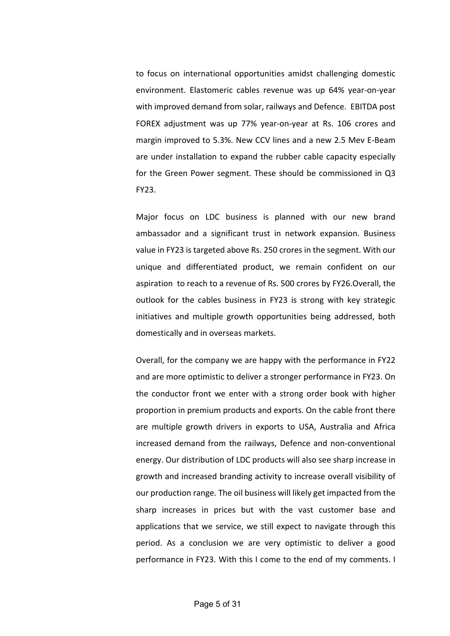to focus on international opportunities amidst challenging domestic environment. Elastomeric cables revenue was up 64% year‐on‐year with improved demand from solar, railways and Defence. EBITDA post FOREX adjustment was up 77% year-on-year at Rs. 106 crores and margin improved to 5.3%. New CCV lines and a new 2.5 Mev E‐Beam are under installation to expand the rubber cable capacity especially for the Green Power segment. These should be commissioned in Q3 FY23.

Major focus on LDC business is planned with our new brand ambassador and a significant trust in network expansion. Business value in FY23 is targeted above Rs. 250 crores in the segment. With our unique and differentiated product, we remain confident on our aspiration to reach to a revenue of Rs. 500 crores by FY26.Overall, the outlook for the cables business in FY23 is strong with key strategic initiatives and multiple growth opportunities being addressed, both domestically and in overseas markets.

Overall, for the company we are happy with the performance in FY22 and are more optimistic to deliver a stronger performance in FY23. On the conductor front we enter with a strong order book with higher proportion in premium products and exports. On the cable front there are multiple growth drivers in exports to USA, Australia and Africa increased demand from the railways, Defence and non‐conventional energy. Our distribution of LDC products will also see sharp increase in growth and increased branding activity to increase overall visibility of our production range. The oil business will likely get impacted from the sharp increases in prices but with the vast customer base and applications that we service, we still expect to navigate through this period. As a conclusion we are very optimistic to deliver a good performance in FY23. With this I come to the end of my comments. I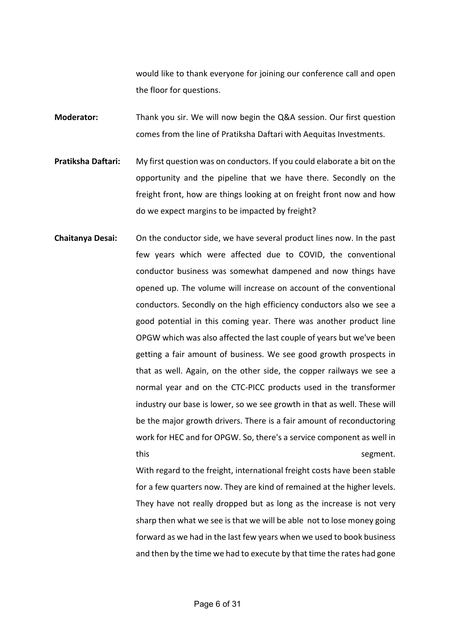would like to thank everyone for joining our conference call and open the floor for questions.

**Moderator:** Thank you sir. We will now begin the Q&A session. Our first question comes from the line of Pratiksha Daftari with Aequitas Investments.

- **Pratiksha Daftari:** My first question was on conductors. If you could elaborate a bit on the opportunity and the pipeline that we have there. Secondly on the freight front, how are things looking at on freight front now and how do we expect margins to be impacted by freight?
- **Chaitanya Desai:** On the conductor side, we have several product lines now. In the past few years which were affected due to COVID, the conventional conductor business was somewhat dampened and now things have opened up. The volume will increase on account of the conventional conductors. Secondly on the high efficiency conductors also we see a good potential in this coming year. There was another product line OPGW which was also affected the last couple of years but we've been getting a fair amount of business. We see good growth prospects in that as well. Again, on the other side, the copper railways we see a normal year and on the CTC‐PICC products used in the transformer industry our base is lower, so we see growth in that as well. These will be the major growth drivers. There is a fair amount of reconductoring work for HEC and for OPGW. So, there's a service component as well in this segment.

With regard to the freight, international freight costs have been stable for a few quarters now. They are kind of remained at the higher levels. They have not really dropped but as long as the increase is not very sharp then what we see is that we will be able not to lose money going forward as we had in the last few years when we used to book business and then by the time we had to execute by that time the rates had gone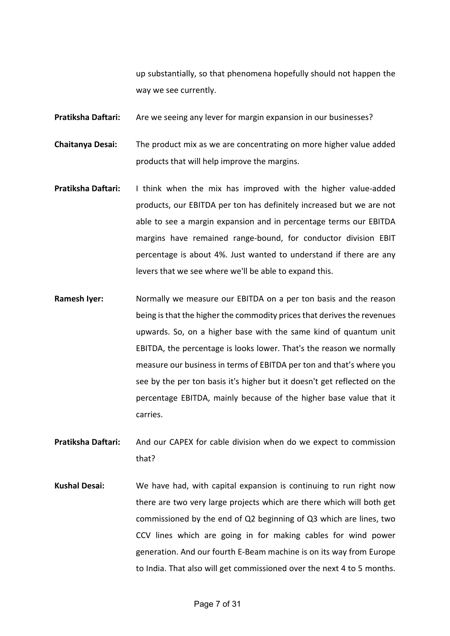up substantially, so that phenomena hopefully should not happen the way we see currently.

- **Pratiksha Daftari:** Are we seeing any lever for margin expansion in our businesses?
- **Chaitanya Desai:**  The product mix as we are concentrating on more higher value added products that will help improve the margins.
- **Pratiksha Daftari:** I think when the mix has improved with the higher value-added products, our EBITDA per ton has definitely increased but we are not able to see a margin expansion and in percentage terms our EBITDA margins have remained range‐bound, for conductor division EBIT percentage is about 4%. Just wanted to understand if there are any levers that we see where we'll be able to expand this.
- **Ramesh Iyer:** Normally we measure our EBITDA on a per ton basis and the reason being is that the higher the commodity prices that derives the revenues upwards. So, on a higher base with the same kind of quantum unit EBITDA, the percentage is looks lower. That's the reason we normally measure our business in terms of EBITDA per ton and that's where you see by the per ton basis it's higher but it doesn't get reflected on the percentage EBITDA, mainly because of the higher base value that it carries.
- **Pratiksha Daftari:**  And our CAPEX for cable division when do we expect to commission that?
- **Kushal Desai:** We have had, with capital expansion is continuing to run right now there are two very large projects which are there which will both get commissioned by the end of Q2 beginning of Q3 which are lines, two CCV lines which are going in for making cables for wind power generation. And our fourth E‐Beam machine is on its way from Europe to India. That also will get commissioned over the next 4 to 5 months.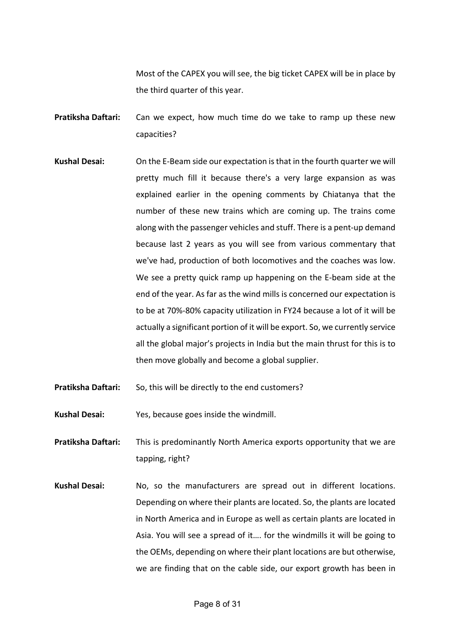Most of the CAPEX you will see, the big ticket CAPEX will be in place by the third quarter of this year.

**Pratiksha Daftari:** Can we expect, how much time do we take to ramp up these new capacities?

- **Kushal Desai:**  On the E‐Beam side our expectation is that in the fourth quarter we will pretty much fill it because there's a very large expansion as was explained earlier in the opening comments by Chiatanya that the number of these new trains which are coming up. The trains come along with the passenger vehicles and stuff. There is a pent‐up demand because last 2 years as you will see from various commentary that we've had, production of both locomotives and the coaches was low. We see a pretty quick ramp up happening on the E-beam side at the end of the year. As far as the wind mills is concerned our expectation is to be at 70%‐80% capacity utilization in FY24 because a lot of it will be actually a significant portion of it will be export. So, we currently service all the global major's projects in India but the main thrust for this is to then move globally and become a global supplier.
- **Pratiksha Daftari:** So, this will be directly to the end customers?

**Kushal Desai:** Yes, because goes inside the windmill.

**Pratiksha Daftari:**  This is predominantly North America exports opportunity that we are tapping, right?

**Kushal Desai:** No, so the manufacturers are spread out in different locations. Depending on where their plants are located. So, the plants are located in North America and in Europe as well as certain plants are located in Asia. You will see a spread of it…. for the windmills it will be going to the OEMs, depending on where their plant locations are but otherwise, we are finding that on the cable side, our export growth has been in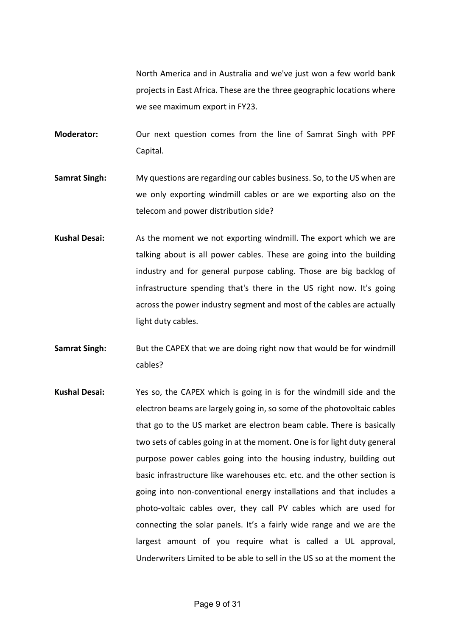North America and in Australia and we've just won a few world bank projects in East Africa. These are the three geographic locations where we see maximum export in FY23.

**Moderator:** Our next question comes from the line of Samrat Singh with PPF Capital.

- **Samrat Singh:**  My questions are regarding our cables business. So, to the US when are we only exporting windmill cables or are we exporting also on the telecom and power distribution side?
- Kushal Desai: As the moment we not exporting windmill. The export which we are talking about is all power cables. These are going into the building industry and for general purpose cabling. Those are big backlog of infrastructure spending that's there in the US right now. It's going across the power industry segment and most of the cables are actually light duty cables.
- **Samrat Singh:** But the CAPEX that we are doing right now that would be for windmill cables?
- Kushal Desai: Yes so, the CAPEX which is going in is for the windmill side and the electron beams are largely going in, so some of the photovoltaic cables that go to the US market are electron beam cable. There is basically two sets of cables going in at the moment. One is for light duty general purpose power cables going into the housing industry, building out basic infrastructure like warehouses etc. etc. and the other section is going into non‐conventional energy installations and that includes a photo‐voltaic cables over, they call PV cables which are used for connecting the solar panels. It's a fairly wide range and we are the largest amount of you require what is called a UL approval, Underwriters Limited to be able to sell in the US so at the moment the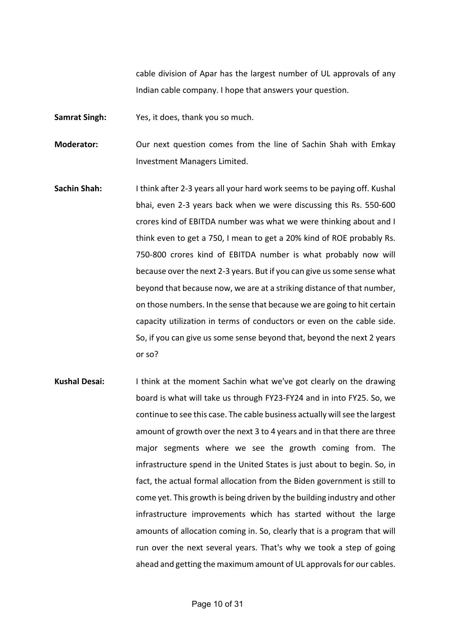cable division of Apar has the largest number of UL approvals of any Indian cable company. I hope that answers your question.

**Samrat Singh:** Yes, it does, thank you so much.

**Moderator:** Our next question comes from the line of Sachin Shah with Emkay Investment Managers Limited.

- **Sachin Shah:**  I think after 2‐3 years all your hard work seems to be paying off. Kushal bhai, even 2‐3 years back when we were discussing this Rs. 550‐600 crores kind of EBITDA number was what we were thinking about and I think even to get a 750, I mean to get a 20% kind of ROE probably Rs. 750‐800 crores kind of EBITDA number is what probably now will because over the next 2‐3 years. But if you can give us some sense what beyond that because now, we are at a striking distance of that number, on those numbers. In the sense that because we are going to hit certain capacity utilization in terms of conductors or even on the cable side. So, if you can give us some sense beyond that, beyond the next 2 years or so?
- **Kushal Desai:** I think at the moment Sachin what we've got clearly on the drawing board is what will take us through FY23‐FY24 and in into FY25. So, we continue to see this case. The cable business actually will see the largest amount of growth over the next 3 to 4 years and in that there are three major segments where we see the growth coming from. The infrastructure spend in the United States is just about to begin. So, in fact, the actual formal allocation from the Biden government is still to come yet. This growth is being driven by the building industry and other infrastructure improvements which has started without the large amounts of allocation coming in. So, clearly that is a program that will run over the next several years. That's why we took a step of going ahead and getting the maximum amount of UL approvals for our cables.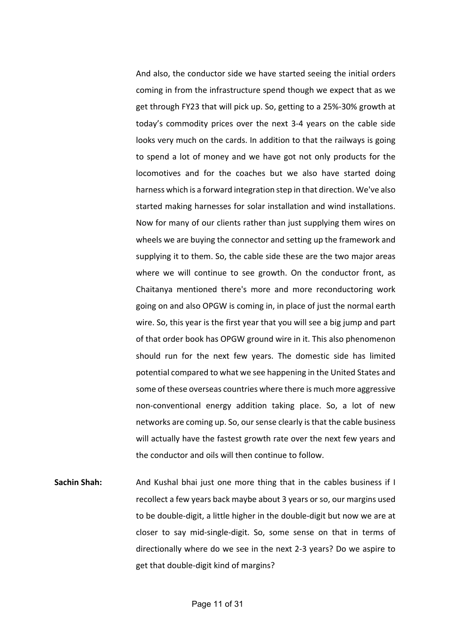And also, the conductor side we have started seeing the initial orders coming in from the infrastructure spend though we expect that as we get through FY23 that will pick up. So, getting to a 25%‐30% growth at today's commodity prices over the next 3‐4 years on the cable side looks very much on the cards. In addition to that the railways is going to spend a lot of money and we have got not only products for the locomotives and for the coaches but we also have started doing harness which is a forward integration step in that direction. We've also started making harnesses for solar installation and wind installations. Now for many of our clients rather than just supplying them wires on wheels we are buying the connector and setting up the framework and supplying it to them. So, the cable side these are the two major areas where we will continue to see growth. On the conductor front, as Chaitanya mentioned there's more and more reconductoring work going on and also OPGW is coming in, in place of just the normal earth wire. So, this year is the first year that you will see a big jump and part of that order book has OPGW ground wire in it. This also phenomenon should run for the next few years. The domestic side has limited potential compared to what we see happening in the United States and some of these overseas countries where there is much more aggressive non-conventional energy addition taking place. So, a lot of new networks are coming up. So, our sense clearly is that the cable business will actually have the fastest growth rate over the next few years and the conductor and oils will then continue to follow.

**Sachin Shah:** And Kushal bhai just one more thing that in the cables business if I recollect a few years back maybe about 3 years or so, our margins used to be double‐digit, a little higher in the double‐digit but now we are at closer to say mid‐single‐digit. So, some sense on that in terms of directionally where do we see in the next 2‐3 years? Do we aspire to get that double‐digit kind of margins?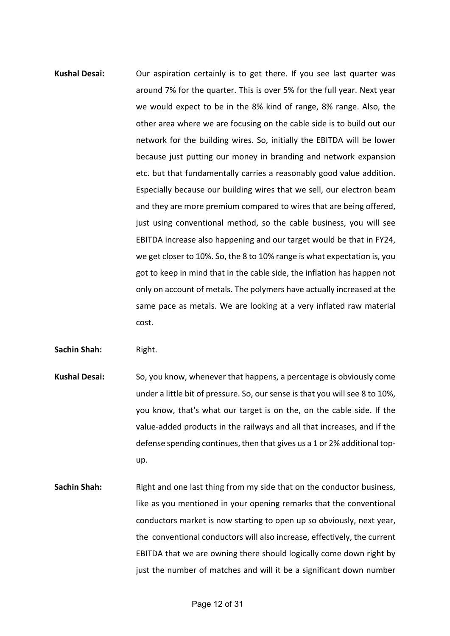- Kushal Desai: Our aspiration certainly is to get there. If you see last quarter was around 7% for the quarter. This is over 5% for the full year. Next year we would expect to be in the 8% kind of range, 8% range. Also, the other area where we are focusing on the cable side is to build out our network for the building wires. So, initially the EBITDA will be lower because just putting our money in branding and network expansion etc. but that fundamentally carries a reasonably good value addition. Especially because our building wires that we sell, our electron beam and they are more premium compared to wires that are being offered, just using conventional method, so the cable business, you will see EBITDA increase also happening and our target would be that in FY24, we get closer to 10%. So, the 8 to 10% range is what expectation is, you got to keep in mind that in the cable side, the inflation has happen not only on account of metals. The polymers have actually increased at the same pace as metals. We are looking at a very inflated raw material cost.
- **Sachin Shah:** Right.
- **Kushal Desai:** So, you know, whenever that happens, a percentage is obviously come under a little bit of pressure. So, our sense is that you will see 8 to 10%, you know, that's what our target is on the, on the cable side. If the value‐added products in the railways and all that increases, and if the defense spending continues, then that gives us a 1 or 2% additional top‐ up.
- **Sachin Shah:** Right and one last thing from my side that on the conductor business, like as you mentioned in your opening remarks that the conventional conductors market is now starting to open up so obviously, next year, the conventional conductors will also increase, effectively, the current EBITDA that we are owning there should logically come down right by just the number of matches and will it be a significant down number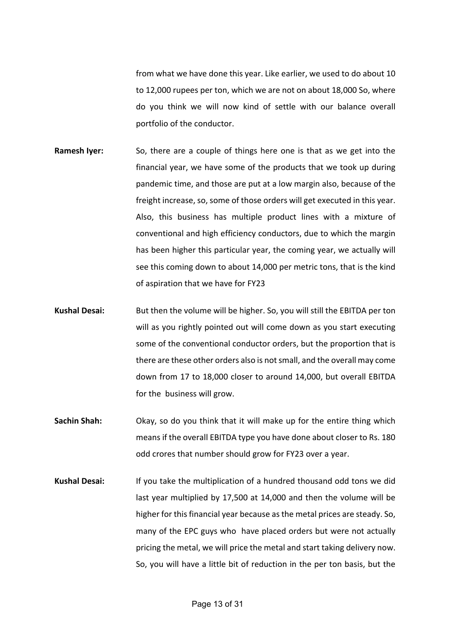from what we have done this year. Like earlier, we used to do about 10 to 12,000 rupees per ton, which we are not on about 18,000 So, where do you think we will now kind of settle with our balance overall portfolio of the conductor.

- **Ramesh Iyer:** So, there are a couple of things here one is that as we get into the financial year, we have some of the products that we took up during pandemic time, and those are put at a low margin also, because of the freight increase, so, some of those orders will get executed in this year. Also, this business has multiple product lines with a mixture of conventional and high efficiency conductors, due to which the margin has been higher this particular year, the coming year, we actually will see this coming down to about 14,000 per metric tons, that is the kind of aspiration that we have for FY23
- Kushal Desai: But then the volume will be higher. So, you will still the EBITDA per ton will as you rightly pointed out will come down as you start executing some of the conventional conductor orders, but the proportion that is there are these other orders also is not small, and the overall may come down from 17 to 18,000 closer to around 14,000, but overall EBITDA for the business will grow.
- **Sachin Shah:** Okay, so do you think that it will make up for the entire thing which means if the overall EBITDA type you have done about closer to Rs. 180 odd crores that number should grow for FY23 over a year.
- **Kushal Desai:** If you take the multiplication of a hundred thousand odd tons we did last year multiplied by 17,500 at 14,000 and then the volume will be higher for this financial year because as the metal prices are steady. So, many of the EPC guys who have placed orders but were not actually pricing the metal, we will price the metal and start taking delivery now. So, you will have a little bit of reduction in the per ton basis, but the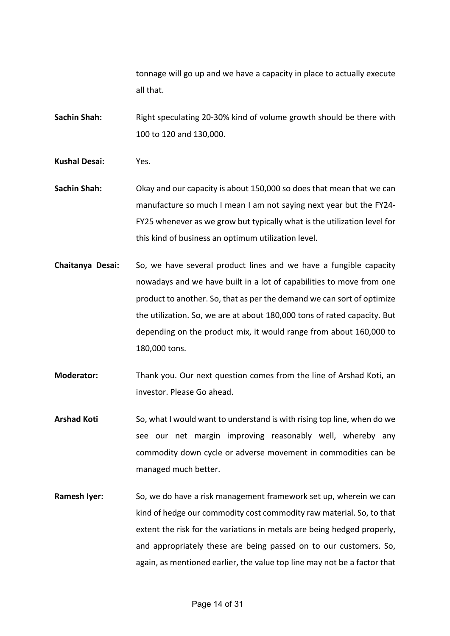tonnage will go up and we have a capacity in place to actually execute all that.

Sachin Shah: Right speculating 20-30% kind of volume growth should be there with 100 to 120 and 130,000.

- **Kushal Desai:** Yes.
- **Sachin Shah:** Okay and our capacity is about 150,000 so does that mean that we can manufacture so much I mean I am not saying next year but the FY24‐ FY25 whenever as we grow but typically what is the utilization level for this kind of business an optimum utilization level.
- **Chaitanya Desai:** So, we have several product lines and we have a fungible capacity nowadays and we have built in a lot of capabilities to move from one product to another. So, that as per the demand we can sort of optimize the utilization. So, we are at about 180,000 tons of rated capacity. But depending on the product mix, it would range from about 160,000 to 180,000 tons.
- **Moderator:** Thank you. Our next question comes from the line of Arshad Koti, an investor. Please Go ahead.
- Arshad Koti **So**, what I would want to understand is with rising top line, when do we see our net margin improving reasonably well, whereby any commodity down cycle or adverse movement in commodities can be managed much better.
- **Ramesh Iyer:** So, we do have a risk management framework set up, wherein we can kind of hedge our commodity cost commodity raw material. So, to that extent the risk for the variations in metals are being hedged properly, and appropriately these are being passed on to our customers. So, again, as mentioned earlier, the value top line may not be a factor that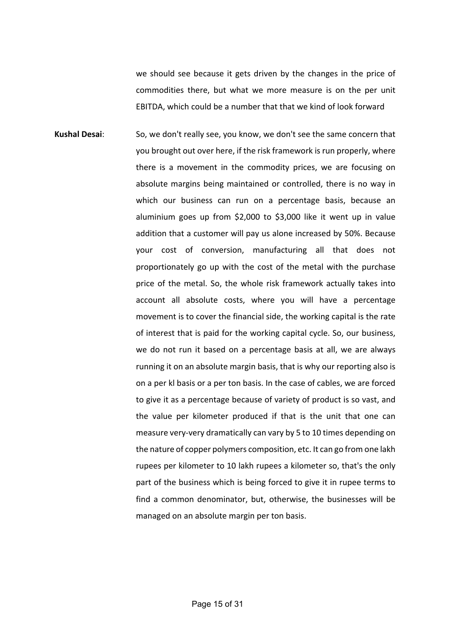we should see because it gets driven by the changes in the price of commodities there, but what we more measure is on the per unit EBITDA, which could be a number that that we kind of look forward

**Kushal Desai**: So, we don't really see, you know, we don't see the same concern that you brought out over here, if the risk framework is run properly, where there is a movement in the commodity prices, we are focusing on absolute margins being maintained or controlled, there is no way in which our business can run on a percentage basis, because an aluminium goes up from \$2,000 to \$3,000 like it went up in value addition that a customer will pay us alone increased by 50%. Because your cost of conversion, manufacturing all that does not proportionately go up with the cost of the metal with the purchase price of the metal. So, the whole risk framework actually takes into account all absolute costs, where you will have a percentage movement is to cover the financial side, the working capital is the rate of interest that is paid for the working capital cycle. So, our business, we do not run it based on a percentage basis at all, we are always running it on an absolute margin basis, that is why our reporting also is on a per kl basis or a per ton basis. In the case of cables, we are forced to give it as a percentage because of variety of product is so vast, and the value per kilometer produced if that is the unit that one can measure very‐very dramatically can vary by 5 to 10 times depending on the nature of copper polymers composition, etc. It can go from one lakh rupees per kilometer to 10 lakh rupees a kilometer so, that's the only part of the business which is being forced to give it in rupee terms to find a common denominator, but, otherwise, the businesses will be managed on an absolute margin per ton basis.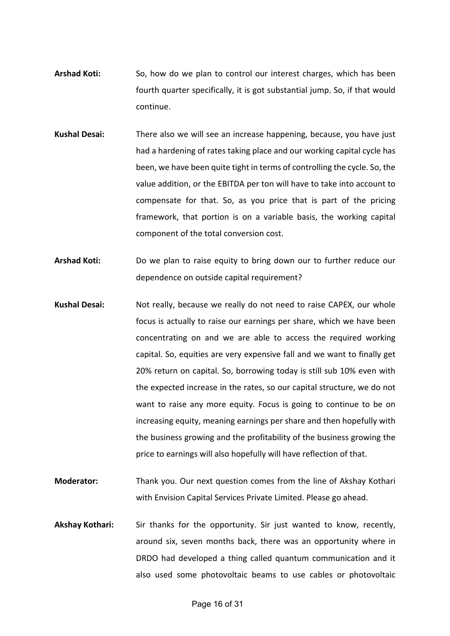- Arshad Koti: So, how do we plan to control our interest charges, which has been fourth quarter specifically, it is got substantial jump. So, if that would continue.
- Kushal Desai: There also we will see an increase happening, because, you have just had a hardening of rates taking place and our working capital cycle has been, we have been quite tight in terms of controlling the cycle. So, the value addition, or the EBITDA per ton will have to take into account to compensate for that. So, as you price that is part of the pricing framework, that portion is on a variable basis, the working capital component of the total conversion cost.
- Arshad Koti: **Do we plan to raise equity to bring down our to further reduce our** dependence on outside capital requirement?
- Kushal Desai: Not really, because we really do not need to raise CAPEX, our whole focus is actually to raise our earnings per share, which we have been concentrating on and we are able to access the required working capital. So, equities are very expensive fall and we want to finally get 20% return on capital. So, borrowing today is still sub 10% even with the expected increase in the rates, so our capital structure, we do not want to raise any more equity. Focus is going to continue to be on increasing equity, meaning earnings per share and then hopefully with the business growing and the profitability of the business growing the price to earnings will also hopefully will have reflection of that.
- **Moderator:** Thank you. Our next question comes from the line of Akshay Kothari with Envision Capital Services Private Limited. Please go ahead.
- Akshay Kothari: Sir thanks for the opportunity. Sir just wanted to know, recently, around six, seven months back, there was an opportunity where in DRDO had developed a thing called quantum communication and it also used some photovoltaic beams to use cables or photovoltaic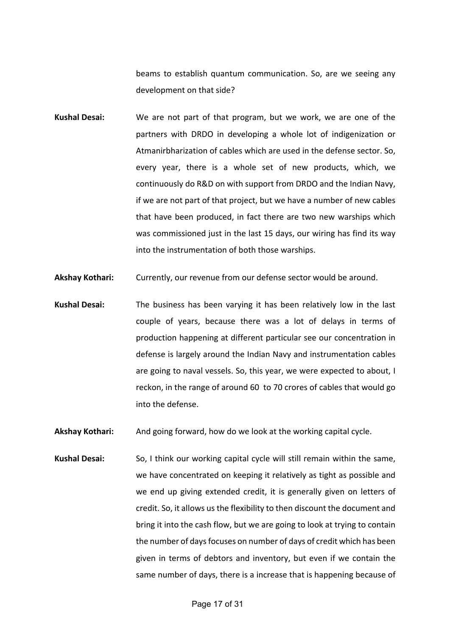beams to establish quantum communication. So, are we seeing any development on that side?

- Kushal Desai: We are not part of that program, but we work, we are one of the partners with DRDO in developing a whole lot of indigenization or Atmanirbharization of cables which are used in the defense sector. So, every year, there is a whole set of new products, which, we continuously do R&D on with support from DRDO and the Indian Navy, if we are not part of that project, but we have a number of new cables that have been produced, in fact there are two new warships which was commissioned just in the last 15 days, our wiring has find its way into the instrumentation of both those warships.
- **Akshay Kothari:**  Currently, our revenue from our defense sector would be around.
- **Kushal Desai:** The business has been varying it has been relatively low in the last couple of years, because there was a lot of delays in terms of production happening at different particular see our concentration in defense is largely around the Indian Navy and instrumentation cables are going to naval vessels. So, this year, we were expected to about, I reckon, in the range of around 60 to 70 crores of cables that would go into the defense.
- **Akshay Kothari:**  And going forward, how do we look at the working capital cycle.
- **Kushal Desai:** So, I think our working capital cycle will still remain within the same, we have concentrated on keeping it relatively as tight as possible and we end up giving extended credit, it is generally given on letters of credit. So, it allows us the flexibility to then discount the document and bring it into the cash flow, but we are going to look at trying to contain the number of days focuses on number of days of credit which has been given in terms of debtors and inventory, but even if we contain the same number of days, there is a increase that is happening because of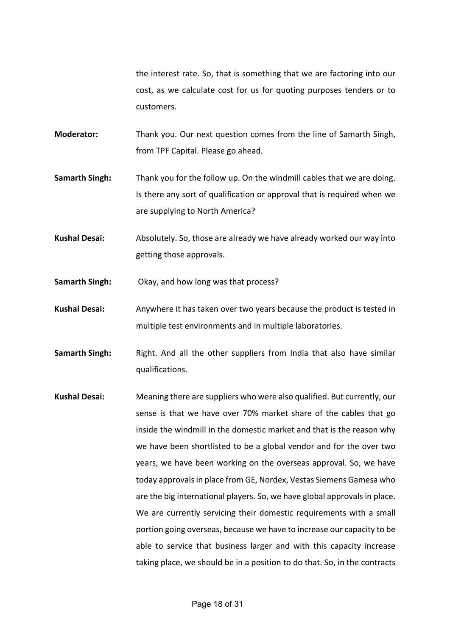the interest rate. So, that is something that we are factoring into our cost, as we calculate cost for us for quoting purposes tenders or to customers.

**Moderator:** Thank you. Our next question comes from the line of Samarth Singh, from TPF Capital. Please go ahead.

- **Samarth Singh:** Thank you for the follow up. On the windmill cables that we are doing. Is there any sort of qualification or approval that is required when we are supplying to North America?
- **Kushal Desai:** Absolutely. So, those are already we have already worked our way into getting those approvals.
- **Samarth Singh:** Okay, and how long was that process?
- Kushal Desai: Anywhere it has taken over two years because the product is tested in multiple test environments and in multiple laboratories.
- **Samarth Singh:** Right. And all the other suppliers from India that also have similar qualifications.
- **Kushal Desai:** Meaning there are suppliers who were also qualified. But currently, our sense is that we have over 70% market share of the cables that go inside the windmill in the domestic market and that is the reason why we have been shortlisted to be a global vendor and for the over two years, we have been working on the overseas approval. So, we have today approvals in place from GE, Nordex, Vestas Siemens Gamesa who are the big international players. So, we have global approvals in place. We are currently servicing their domestic requirements with a small portion going overseas, because we have to increase our capacity to be able to service that business larger and with this capacity increase taking place, we should be in a position to do that. So, in the contracts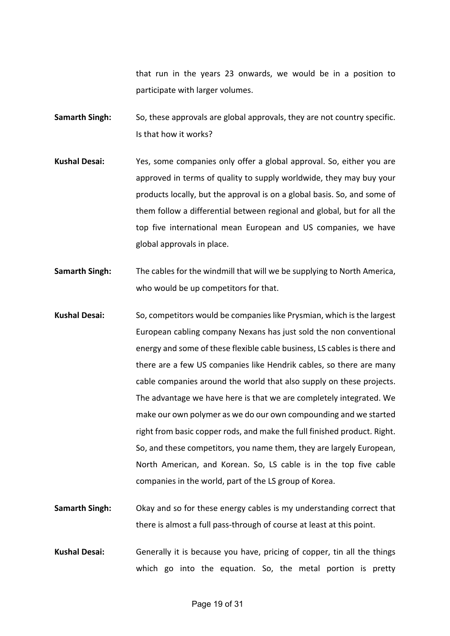that run in the years 23 onwards, we would be in a position to participate with larger volumes.

**Samarth Singh:**  So, these approvals are global approvals, they are not country specific. Is that how it works?

- **Kushal Desai:**  Yes, some companies only offer a global approval. So, either you are approved in terms of quality to supply worldwide, they may buy your products locally, but the approval is on a global basis. So, and some of them follow a differential between regional and global, but for all the top five international mean European and US companies, we have global approvals in place.
- **Samarth Singh:**  The cables for the windmill that will we be supplying to North America, who would be up competitors for that.
- **Kushal Desai:** So, competitors would be companies like Prysmian, which is the largest European cabling company Nexans has just sold the non conventional energy and some of these flexible cable business, LS cables is there and there are a few US companies like Hendrik cables, so there are many cable companies around the world that also supply on these projects. The advantage we have here is that we are completely integrated. We make our own polymer as we do our own compounding and we started right from basic copper rods, and make the full finished product. Right. So, and these competitors, you name them, they are largely European, North American, and Korean. So, LS cable is in the top five cable companies in the world, part of the LS group of Korea.
- **Samarth Singh:**  Okay and so for these energy cables is my understanding correct that there is almost a full pass‐through of course at least at this point.
- **Kushal Desai:** Generally it is because you have, pricing of copper, tin all the things which go into the equation. So, the metal portion is pretty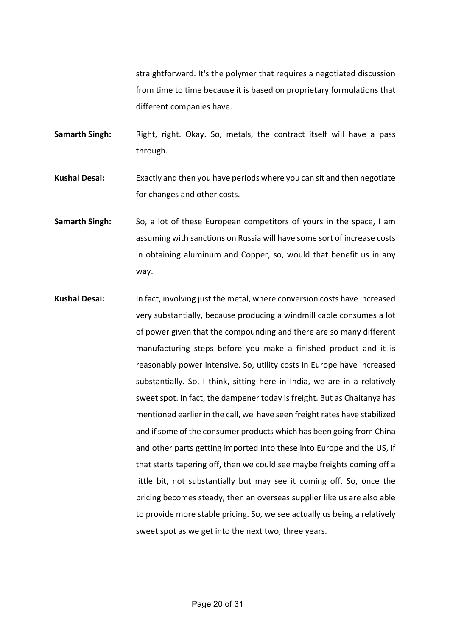straightforward. It's the polymer that requires a negotiated discussion from time to time because it is based on proprietary formulations that different companies have.

**Samarth Singh:** Right, right. Okay. So, metals, the contract itself will have a pass through.

**Kushal Desai:** Exactly and then you have periods where you can sit and then negotiate for changes and other costs.

**Samarth Singh:** So, a lot of these European competitors of yours in the space, I am assuming with sanctions on Russia will have some sort of increase costs in obtaining aluminum and Copper, so, would that benefit us in any way.

**Kushal Desai:** In fact, involving just the metal, where conversion costs have increased very substantially, because producing a windmill cable consumes a lot of power given that the compounding and there are so many different manufacturing steps before you make a finished product and it is reasonably power intensive. So, utility costs in Europe have increased substantially. So, I think, sitting here in India, we are in a relatively sweet spot. In fact, the dampener today is freight. But as Chaitanya has mentioned earlier in the call, we have seen freight rates have stabilized and if some of the consumer products which has been going from China and other parts getting imported into these into Europe and the US, if that starts tapering off, then we could see maybe freights coming off a little bit, not substantially but may see it coming off. So, once the pricing becomes steady, then an overseas supplier like us are also able to provide more stable pricing. So, we see actually us being a relatively sweet spot as we get into the next two, three years.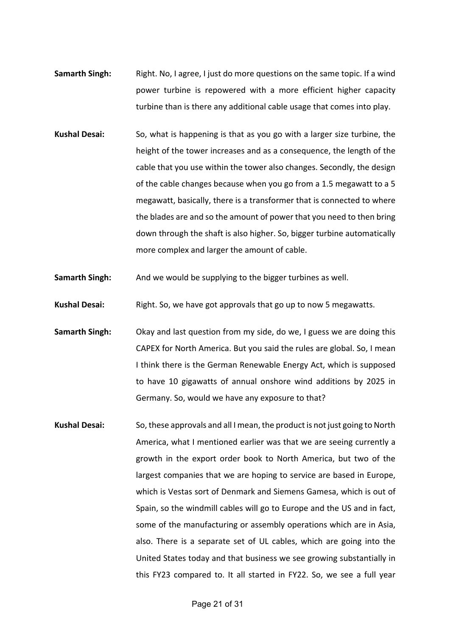- **Samarth Singh:** Right. No, I agree, I just do more questions on the same topic. If a wind power turbine is repowered with a more efficient higher capacity turbine than is there any additional cable usage that comes into play.
- **Kushal Desai:**  So, what is happening is that as you go with a larger size turbine, the height of the tower increases and as a consequence, the length of the cable that you use within the tower also changes. Secondly, the design of the cable changes because when you go from a 1.5 megawatt to a 5 megawatt, basically, there is a transformer that is connected to where the blades are and so the amount of power that you need to then bring down through the shaft is also higher. So, bigger turbine automatically more complex and larger the amount of cable.
- **Samarth Singh:** And we would be supplying to the bigger turbines as well.
- Kushal Desai: Right. So, we have got approvals that go up to now 5 megawatts.
- **Samarth Singh:** Okay and last question from my side, do we, I guess we are doing this CAPEX for North America. But you said the rules are global. So, I mean I think there is the German Renewable Energy Act, which is supposed to have 10 gigawatts of annual onshore wind additions by 2025 in Germany. So, would we have any exposure to that?
- Kushal Desai: So, these approvals and all I mean, the product is not just going to North America, what I mentioned earlier was that we are seeing currently a growth in the export order book to North America, but two of the largest companies that we are hoping to service are based in Europe, which is Vestas sort of Denmark and Siemens Gamesa, which is out of Spain, so the windmill cables will go to Europe and the US and in fact, some of the manufacturing or assembly operations which are in Asia, also. There is a separate set of UL cables, which are going into the United States today and that business we see growing substantially in this FY23 compared to. It all started in FY22. So, we see a full year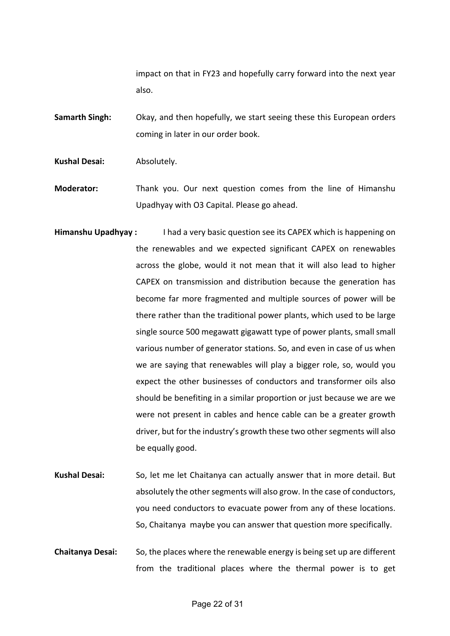impact on that in FY23 and hopefully carry forward into the next year also.

**Samarth Singh:**  Okay, and then hopefully, we start seeing these this European orders coming in later in our order book.

**Kushal Desai:**  Absolutely.

**Moderator:** Thank you. Our next question comes from the line of Himanshu Upadhyay with O3 Capital. Please go ahead.

- **Himanshu Upadhyay :** I had a very basic question see its CAPEX which is happening on the renewables and we expected significant CAPEX on renewables across the globe, would it not mean that it will also lead to higher CAPEX on transmission and distribution because the generation has become far more fragmented and multiple sources of power will be there rather than the traditional power plants, which used to be large single source 500 megawatt gigawatt type of power plants, small small various number of generator stations. So, and even in case of us when we are saying that renewables will play a bigger role, so, would you expect the other businesses of conductors and transformer oils also should be benefiting in a similar proportion or just because we are we were not present in cables and hence cable can be a greater growth driver, but for the industry's growth these two other segments will also be equally good.
- **Kushal Desai:**  So, let me let Chaitanya can actually answer that in more detail. But absolutely the other segments will also grow. In the case of conductors, you need conductors to evacuate power from any of these locations. So, Chaitanya maybe you can answer that question more specifically.
- **Chaitanya Desai:** So, the places where the renewable energy is being set up are different from the traditional places where the thermal power is to get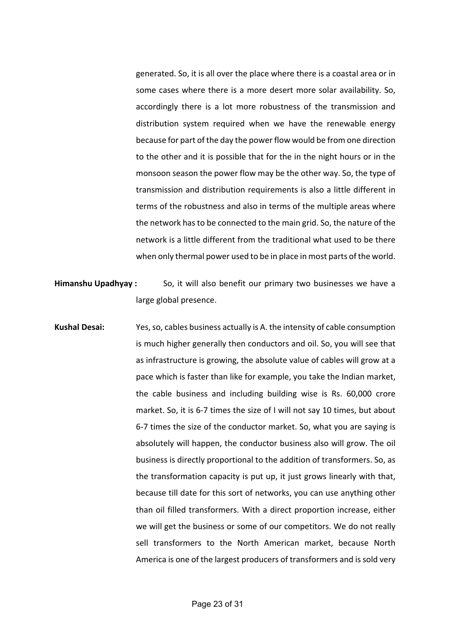generated. So, it is all over the place where there is a coastal area or in some cases where there is a more desert more solar availability. So, accordingly there is a lot more robustness of the transmission and distribution system required when we have the renewable energy because for part of the day the power flow would be from one direction to the other and it is possible that for the in the night hours or in the monsoon season the power flow may be the other way. So, the type of transmission and distribution requirements is also a little different in terms of the robustness and also in terms of the multiple areas where the network has to be connected to the main grid. So, the nature of the network is a little different from the traditional what used to be there when only thermal power used to be in place in most parts of the world.

- **Himanshu Upadhyay :** So, it will also benefit our primary two businesses we have a large global presence.
- **Kushal Desai:** Yes, so, cables business actually is A. the intensity of cable consumption is much higher generally then conductors and oil. So, you will see that as infrastructure is growing, the absolute value of cables will grow at a pace which is faster than like for example, you take the Indian market, the cable business and including building wise is Rs. 60,000 crore market. So, it is 6‐7 times the size of I will not say 10 times, but about 6‐7 times the size of the conductor market. So, what you are saying is absolutely will happen, the conductor business also will grow. The oil business is directly proportional to the addition of transformers. So, as the transformation capacity is put up, it just grows linearly with that, because till date for this sort of networks, you can use anything other than oil filled transformers. With a direct proportion increase, either we will get the business or some of our competitors. We do not really sell transformers to the North American market, because North America is one of the largest producers of transformers and is sold very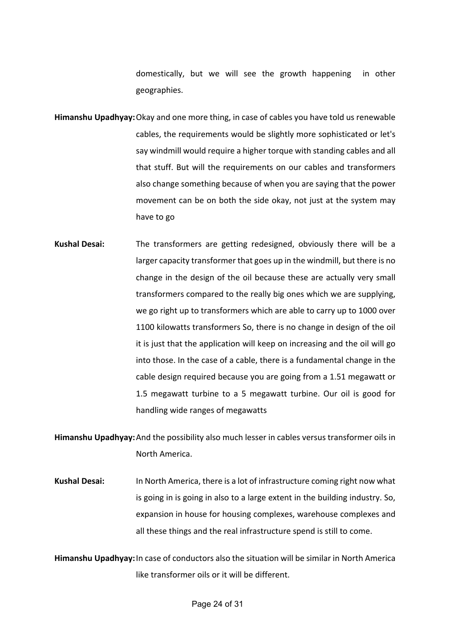domestically, but we will see the growth happening in other geographies.

- **Himanshu Upadhyay:** Okay and one more thing, in case of cables you have told us renewable cables, the requirements would be slightly more sophisticated or let's say windmill would require a higher torque with standing cables and all that stuff. But will the requirements on our cables and transformers also change something because of when you are saying that the power movement can be on both the side okay, not just at the system may have to go
- Kushal Desai: The transformers are getting redesigned, obviously there will be a larger capacity transformer that goes up in the windmill, but there is no change in the design of the oil because these are actually very small transformers compared to the really big ones which we are supplying, we go right up to transformers which are able to carry up to 1000 over 1100 kilowatts transformers So, there is no change in design of the oil it is just that the application will keep on increasing and the oil will go into those. In the case of a cable, there is a fundamental change in the cable design required because you are going from a 1.51 megawatt or 1.5 megawatt turbine to a 5 megawatt turbine. Our oil is good for handling wide ranges of megawatts

**Himanshu Upadhyay:** And the possibility also much lesser in cables versus transformer oils in North America.

**Kushal Desai:** In North America, there is a lot of infrastructure coming right now what is going in is going in also to a large extent in the building industry. So, expansion in house for housing complexes, warehouse complexes and all these things and the real infrastructure spend is still to come.

**Himanshu Upadhyay:** In case of conductors also the situation will be similar in North America like transformer oils or it will be different.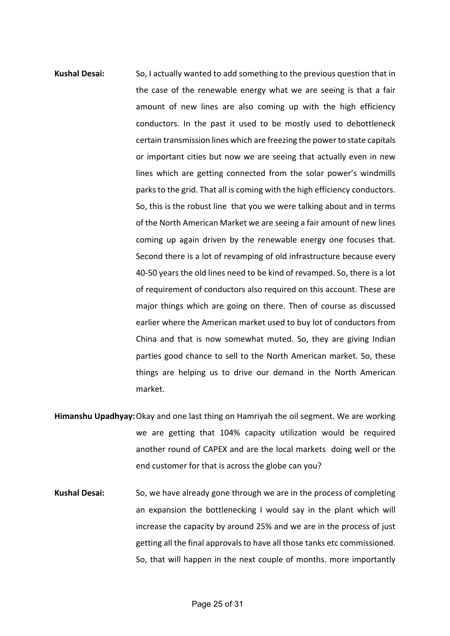- **Kushal Desai:** So, I actually wanted to add something to the previous question that in the case of the renewable energy what we are seeing is that a fair amount of new lines are also coming up with the high efficiency conductors. In the past it used to be mostly used to debottleneck certain transmission lines which are freezing the power to state capitals or important cities but now we are seeing that actually even in new lines which are getting connected from the solar power's windmills parks to the grid. That all is coming with the high efficiency conductors. So, this is the robust line that you we were talking about and in terms of the North American Market we are seeing a fair amount of new lines coming up again driven by the renewable energy one focuses that. Second there is a lot of revamping of old infrastructure because every 40‐50 years the old lines need to be kind of revamped. So, there is a lot of requirement of conductors also required on this account. These are major things which are going on there. Then of course as discussed earlier where the American market used to buy lot of conductors from China and that is now somewhat muted. So, they are giving Indian parties good chance to sell to the North American market. So, these things are helping us to drive our demand in the North American market.
- Himanshu Upadhyay: Okay and one last thing on Hamriyah the oil segment. We are working we are getting that 104% capacity utilization would be required another round of CAPEX and are the local markets doing well or the end customer for that is across the globe can you?
- **Kushal Desai:** So, we have already gone through we are in the process of completing an expansion the bottlenecking I would say in the plant which will increase the capacity by around 25% and we are in the process of just getting all the final approvals to have all those tanks etc commissioned. So, that will happen in the next couple of months. more importantly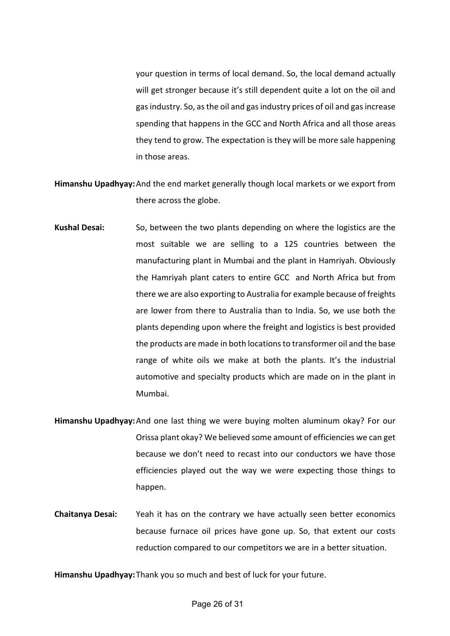your question in terms of local demand. So, the local demand actually will get stronger because it's still dependent quite a lot on the oil and gas industry. So, as the oil and gas industry prices of oil and gas increase spending that happens in the GCC and North Africa and all those areas they tend to grow. The expectation is they will be more sale happening in those areas.

- **Himanshu Upadhyay:** And the end market generally though local markets or we export from there across the globe.
- **Kushal Desai:**  So, between the two plants depending on where the logistics are the most suitable we are selling to a 125 countries between the manufacturing plant in Mumbai and the plant in Hamriyah. Obviously the Hamriyah plant caters to entire GCC and North Africa but from there we are also exporting to Australia for example because of freights are lower from there to Australia than to India. So, we use both the plants depending upon where the freight and logistics is best provided the products are made in both locations to transformer oil and the base range of white oils we make at both the plants. It's the industrial automotive and specialty products which are made on in the plant in Mumbai.
- Himanshu Upadhyay: And one last thing we were buying molten aluminum okay? For our Orissa plant okay? We believed some amount of efficiencies we can get because we don't need to recast into our conductors we have those efficiencies played out the way we were expecting those things to happen.
- **Chaitanya Desai:** Yeah it has on the contrary we have actually seen better economics because furnace oil prices have gone up. So, that extent our costs reduction compared to our competitors we are in a better situation.

**Himanshu Upadhyay:** Thank you so much and best of luck for your future.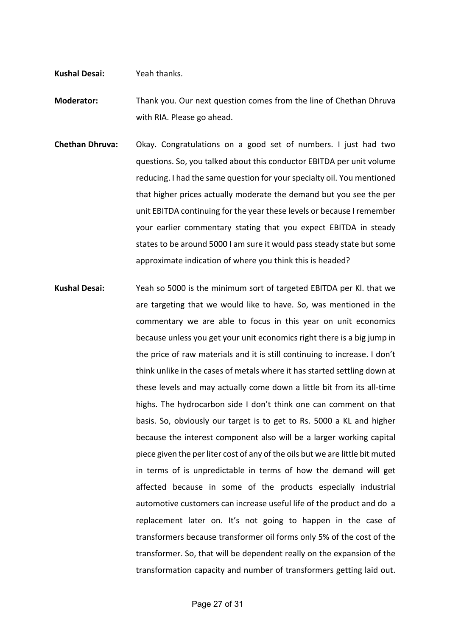## **Kushal Desai:** Yeah thanks.

**Moderator:** Thank you. Our next question comes from the line of Chethan Dhruva with RIA. Please go ahead.

- **Chethan Dhruva:** Okay. Congratulations on a good set of numbers. I just had two questions. So, you talked about this conductor EBITDA per unit volume reducing. I had the same question for your specialty oil. You mentioned that higher prices actually moderate the demand but you see the per unit EBITDA continuing for the year these levels or because I remember your earlier commentary stating that you expect EBITDA in steady states to be around 5000 I am sure it would pass steady state but some approximate indication of where you think this is headed?
- **Kushal Desai:**  Yeah so 5000 is the minimum sort of targeted EBITDA per Kl. that we are targeting that we would like to have. So, was mentioned in the commentary we are able to focus in this year on unit economics because unless you get your unit economics right there is a big jump in the price of raw materials and it is still continuing to increase. I don't think unlike in the cases of metals where it has started settling down at these levels and may actually come down a little bit from its all‐time highs. The hydrocarbon side I don't think one can comment on that basis. So, obviously our target is to get to Rs. 5000 a KL and higher because the interest component also will be a larger working capital piece given the per liter cost of any of the oils but we are little bit muted in terms of is unpredictable in terms of how the demand will get affected because in some of the products especially industrial automotive customers can increase useful life of the product and do a replacement later on. It's not going to happen in the case of transformers because transformer oil forms only 5% of the cost of the transformer. So, that will be dependent really on the expansion of the transformation capacity and number of transformers getting laid out.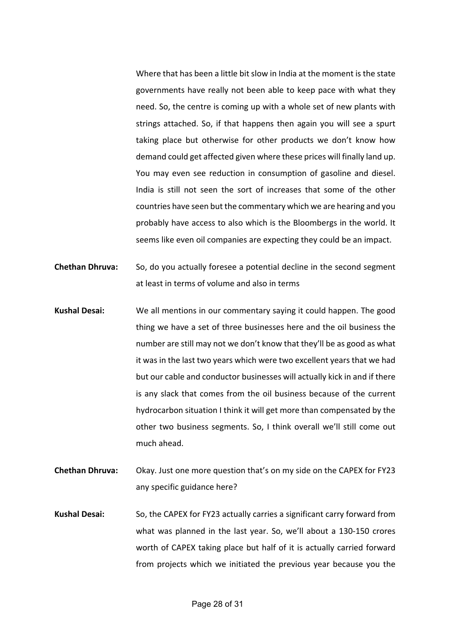Where that has been a little bit slow in India at the moment is the state governments have really not been able to keep pace with what they need. So, the centre is coming up with a whole set of new plants with strings attached. So, if that happens then again you will see a spurt taking place but otherwise for other products we don't know how demand could get affected given where these prices will finally land up. You may even see reduction in consumption of gasoline and diesel. India is still not seen the sort of increases that some of the other countries have seen but the commentary which we are hearing and you probably have access to also which is the Bloombergs in the world. It seems like even oil companies are expecting they could be an impact.

- **Chethan Dhruva:** So, do you actually foresee a potential decline in the second segment at least in terms of volume and also in terms
- **Kushal Desai:** We all mentions in our commentary saying it could happen. The good thing we have a set of three businesses here and the oil business the number are still may not we don't know that they'll be as good as what it was in the last two years which were two excellent years that we had but our cable and conductor businesses will actually kick in and if there is any slack that comes from the oil business because of the current hydrocarbon situation I think it will get more than compensated by the other two business segments. So, I think overall we'll still come out much ahead.
- **Chethan Dhruva:** Okay. Just one more question that's on my side on the CAPEX for FY23 any specific guidance here?
- **Kushal Desai:** So, the CAPEX for FY23 actually carries a significant carry forward from what was planned in the last year. So, we'll about a 130-150 crores worth of CAPEX taking place but half of it is actually carried forward from projects which we initiated the previous year because you the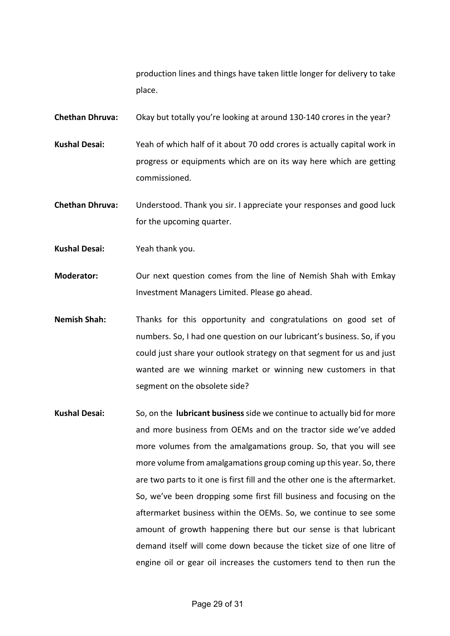production lines and things have taken little longer for delivery to take place.

**Chethan Dhruva:** Okay but totally you're looking at around 130‐140 crores in the year?

**Kushal Desai:** Yeah of which half of it about 70 odd crores is actually capital work in progress or equipments which are on its way here which are getting commissioned.

**Chethan Dhruva:** Understood. Thank you sir. I appreciate your responses and good luck for the upcoming quarter.

**Kushal Desai:** Yeah thank you.

**Moderator:** Our next question comes from the line of Nemish Shah with Emkay Investment Managers Limited. Please go ahead.

**Nemish Shah:** Thanks for this opportunity and congratulations on good set of numbers. So, I had one question on our lubricant's business. So, if you could just share your outlook strategy on that segment for us and just wanted are we winning market or winning new customers in that segment on the obsolete side?

**Kushal Desai:** So, on the  **lubricant business** side we continue to actually bid for more and more business from OEMs and on the tractor side we've added more volumes from the amalgamations group. So, that you will see more volume from amalgamations group coming up this year. So, there are two parts to it one is first fill and the other one is the aftermarket. So, we've been dropping some first fill business and focusing on the aftermarket business within the OEMs. So, we continue to see some amount of growth happening there but our sense is that lubricant demand itself will come down because the ticket size of one litre of engine oil or gear oil increases the customers tend to then run the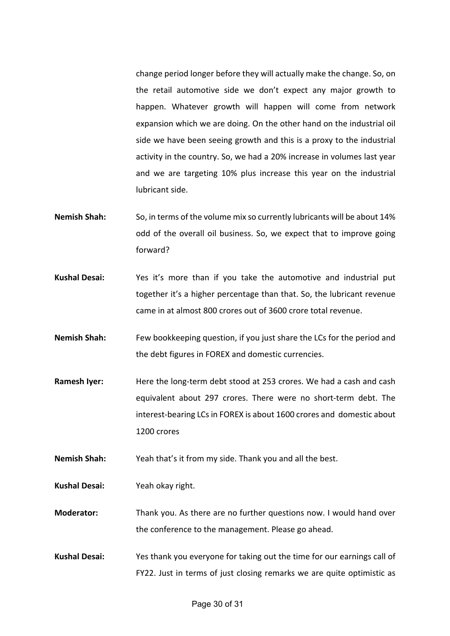change period longer before they will actually make the change. So, on the retail automotive side we don't expect any major growth to happen. Whatever growth will happen will come from network expansion which we are doing. On the other hand on the industrial oil side we have been seeing growth and this is a proxy to the industrial activity in the country. So, we had a 20% increase in volumes last year and we are targeting 10% plus increase this year on the industrial lubricant side.

- **Nemish Shah:** So, in terms of the volume mix so currently lubricants will be about 14% odd of the overall oil business. So, we expect that to improve going forward?
- **Kushal Desai:** Yes it's more than if you take the automotive and industrial put together it's a higher percentage than that. So, the lubricant revenue came in at almost 800 crores out of 3600 crore total revenue.
- **Nemish Shah:** Few bookkeeping question, if you just share the LCs for the period and the debt figures in FOREX and domestic currencies.
- **Ramesh Iyer:** Here the long-term debt stood at 253 crores. We had a cash and cash equivalent about 297 crores. There were no short-term debt. The interest‐bearing LCs in FOREX is about 1600 crores and domestic about 1200 crores
- **Nemish Shah:** Yeah that's it from my side. Thank you and all the best.
- **Kushal Desai:** Yeah okay right.
- **Moderator:** Thank you. As there are no further questions now. I would hand over the conference to the management. Please go ahead.
- **Kushal Desai:** Yes thank you everyone for taking out the time for our earnings call of FY22. Just in terms of just closing remarks we are quite optimistic as